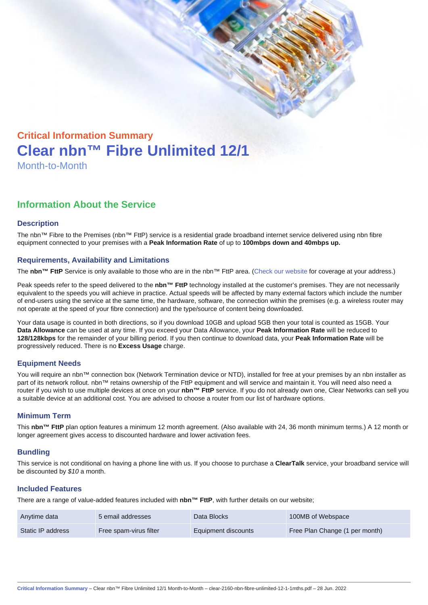# Critical Information Summary Clear nbn™ Fibre Unlimited 12/1 Month-to-Month

## Information About the Service

#### **Description**

The nbn™ Fibre to the Premises (nbn™ FttP) service is a residential grade broadband internet service delivered using nbn fibre equipment connected to your premises with a Peak Information Rate of up to 100mbps down and 40mbps up.

#### Requirements, Availability and Limitations

The nbn™ FttP Service is only available to those who are in the nbn™ FttP area. ([Check our website](https://www.clear.com.au/business/nbn-fixed/) for coverage at your address.)

Peak speeds refer to the speed delivered to the nbn™ FttP technology installed at the customer's premises. They are not necessarily equivalent to the speeds you will achieve in practice. Actual speeds will be affected by many external factors which include the number of end-users using the service at the same time, the hardware, software, the connection within the premises (e.g. a wireless router may not operate at the speed of your fibre connection) and the type/source of content being downloaded.

Your data usage is counted in both directions, so if you download 10GB and upload 5GB then your total is counted as 15GB. Your Data Allowance can be used at any time. If you exceed your Data Allowance, your Peak Information Rate will be reduced to 128/128kbps for the remainder of your billing period. If you then continue to download data, your Peak Information Rate will be progressively reduced. There is no Excess Usage charge.

#### Equipment Needs

You will require an nbn™ connection box (Network Termination device or NTD), installed for free at your premises by an nbn installer as part of its network rollout. nbn™ retains ownership of the FttP equipment and will service and maintain it. You will need also need a router if you wish to use multiple devices at once on your nbn™ FttP service. If you do not already own one, Clear Networks can sell you a suitable device at an additional cost. You are advised to choose a router from our list of hardware options.

#### Minimum Term

This nbn™ FttP plan option features a minimum 12 month agreement. (Also available with 24, 36 month minimum terms.) A 12 month or longer agreement gives access to discounted hardware and lower activation fees.

#### **Bundling**

This service is not conditional on having a phone line with us. If you choose to purchase a ClearTalk service, your broadband service will be discounted by \$10 a month.

#### Included Features

There are a range of value-added features included with nbn™ FttP , with further details on our website;

| Anytime data      | 5 email addresses      | Data Blocks         | 100MB of Webspace              |
|-------------------|------------------------|---------------------|--------------------------------|
| Static IP address | Free spam-virus filter | Equipment discounts | Free Plan Change (1 per month) |